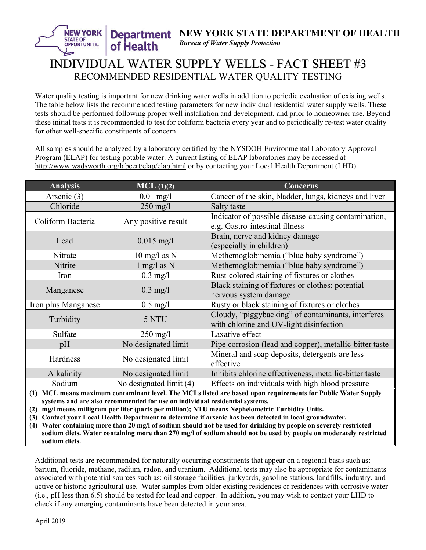## **Department STATE OF** *Bureau of Water Supply Protection* OPPORTUNITY. of Health INDIVIDUAL WATER SUPPLY WELLS - FACT SHEET #3 RECOMMENDED RESIDENTIAL WATER QUALITY TESTING

**NEW YORK STATE DEPARTMENT OF HEALTH** 

Water quality testing is important for new drinking water wells in addition to periodic evaluation of existing wells. The table below lists the recommended testing parameters for new individual residential water supply wells. These tests should be performed following proper well installation and development, and prior to homeowner use. Beyond these initial tests it is recommended to test for coliform bacteria every year and to periodically re-test water quality for other well-specific constituents of concern.

All samples should be analyzed by a laboratory certified by the NYSDOH Environmental Laboratory Approval Program (ELAP) for testing potable water. A current listing of ELAP laboratories may be accessed at http://www.wadsworth.org/labcert/elap/elap.html or by contacting your Local Health Department (LHD).

| <b>Analysis</b>                                                                                              | $MCL$ (1)(2)                   | <b>Concerns</b>                                                                               |  |  |
|--------------------------------------------------------------------------------------------------------------|--------------------------------|-----------------------------------------------------------------------------------------------|--|--|
| Arsenic (3)                                                                                                  | $0.01$ mg/l                    | Cancer of the skin, bladder, lungs, kidneys and liver                                         |  |  |
| Chloride                                                                                                     | $250$ mg/l                     | Salty taste                                                                                   |  |  |
| Coliform Bacteria                                                                                            | Any positive result            | Indicator of possible disease-causing contamination,<br>e.g. Gastro-intestinal illness        |  |  |
| Lead                                                                                                         | $0.015$ mg/l                   | Brain, nerve and kidney damage<br>(especially in children)                                    |  |  |
| Nitrate                                                                                                      | $10 \text{ mg/l}$ as N         | Methemoglobinemia ("blue baby syndrome")                                                      |  |  |
| Nitrite                                                                                                      | $1 \text{ mg}/1 \text{ as } N$ | Methemoglobinemia ("blue baby syndrome")                                                      |  |  |
| Iron                                                                                                         | $0.3$ mg/l                     | Rust-colored staining of fixtures or clothes                                                  |  |  |
| Manganese                                                                                                    | $0.3$ mg/l                     | Black staining of fixtures or clothes; potential<br>nervous system damage                     |  |  |
| Iron plus Manganese                                                                                          | $0.5$ mg/l                     | Rusty or black staining of fixtures or clothes                                                |  |  |
| Turbidity                                                                                                    | 5 NTU                          | Cloudy, "piggybacking" of contaminants, interferes<br>with chlorine and UV-light disinfection |  |  |
| Sulfate                                                                                                      | $250 \text{ mg}/1$             | Laxative effect                                                                               |  |  |
| pH                                                                                                           | No designated limit            | Pipe corrosion (lead and copper), metallic-bitter taste                                       |  |  |
| Hardness                                                                                                     | No designated limit            | Mineral and soap deposits, detergents are less<br>effective                                   |  |  |
| Alkalinity                                                                                                   | No designated limit            | Inhibits chlorine effectiveness, metallic-bitter taste                                        |  |  |
| Sodium                                                                                                       | No designated limit (4)        | Effects on individuals with high blood pressure                                               |  |  |
| (1) MCL means maximum contaminant level. The MCLs listed are based upon requirements for Public Water Supply |                                |                                                                                               |  |  |

**systems and are also recommended for use on individual residential systems.** 

**(2) mg/l means milligram per liter (parts per million); NTU means Nephelometric Turbidity Units.** 

**(3) Contact your Local Health Department to determine if arsenic has been detected in local groundwater.** 

**(4) Water containing more than 20 mg/l of sodium should not be used for drinking by people on severely restricted sodium diets. Water containing more than 270 mg/l of sodium should not be used by people on moderately restricted sodium diets.**

Additional tests are recommended for naturally occurring constituents that appear on a regional basis such as: barium, fluoride, methane, radium, radon, and uranium. Additional tests may also be appropriate for contaminants associated with potential sources such as: oil storage facilities, junkyards, gasoline stations, landfills, industry, and active or historic agricultural use. Water samples from older existing residences or residences with corrosive water (i.e., pH less than 6.5) should be tested for lead and copper. In addition, you may wish to contact your LHD to check if any emerging contaminants have been detected in your area.

**NEW YORK**